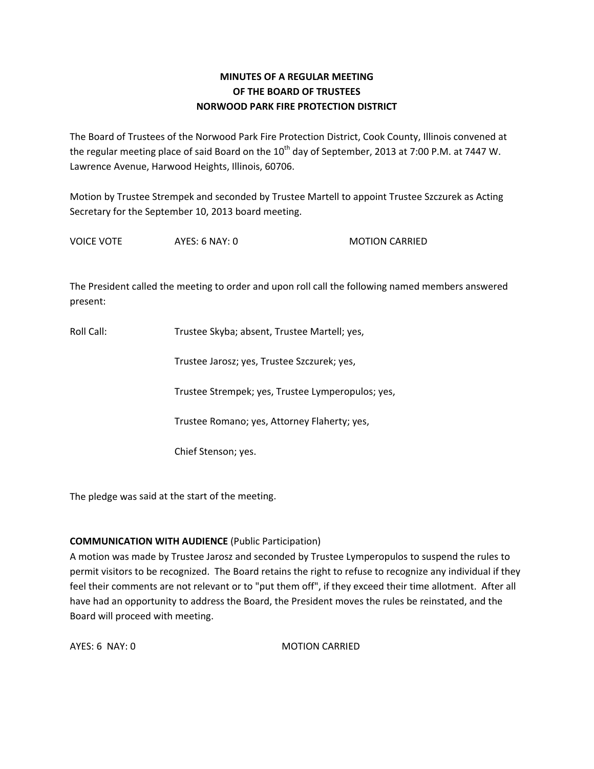# **MINUTES OF A REGULAR MEETING OF THE BOARD OF TRUSTEES NORWOOD PARK FIRE PROTECTION DISTRICT**

The Board of Trustees of the Norwood Park Fire Protection District, Cook County, Illinois convened at the regular meeting place of said Board on the  $10^{th}$  day of September, 2013 at 7:00 P.M. at 7447 W. Lawrence Avenue, Harwood Heights, Illinois, 60706.

Motion by Trustee Strempek and seconded by Trustee Martell to appoint Trustee Szczurek as Acting Secretary for the September 10, 2013 board meeting.

VOICE VOTE AYES: 6 NAY: 0 MOTION CARRIED

The President called the meeting to order and upon roll call the following named members answered present:

Roll Call: Trustee Skyba; absent, Trustee Martell; yes,

Trustee Jarosz; yes, Trustee Szczurek; yes,

Trustee Strempek; yes, Trustee Lymperopulos; yes,

Trustee Romano; yes, Attorney Flaherty; yes,

Chief Stenson; yes.

The pledge was said at the start of the meeting.

## **COMMUNICATION WITH AUDIENCE** (Public Participation)

A motion was made by Trustee Jarosz and seconded by Trustee Lymperopulos to suspend the rules to permit visitors to be recognized. The Board retains the right to refuse to recognize any individual if they feel their comments are not relevant or to "put them off", if they exceed their time allotment. After all have had an opportunity to address the Board, the President moves the rules be reinstated, and the Board will proceed with meeting.

AYES: 6 NAY: 0 MOTION CARRIED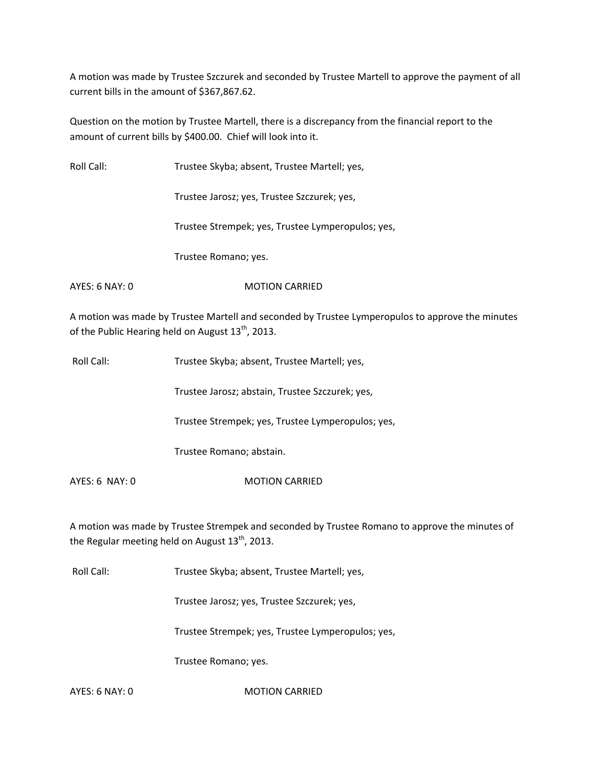A motion was made by Trustee Szczurek and seconded by Trustee Martell to approve the payment of all current bills in the amount of \$367,867.62.

Question on the motion by Trustee Martell, there is a discrepancy from the financial report to the amount of current bills by \$400.00. Chief will look into it.

| Roll Call:     | Trustee Skyba; absent, Trustee Martell; yes,      |
|----------------|---------------------------------------------------|
|                | Trustee Jarosz; yes, Trustee Szczurek; yes,       |
|                | Trustee Strempek; yes, Trustee Lymperopulos; yes, |
|                | Trustee Romano; yes.                              |
| AYES: 6 NAY: 0 | <b>MOTION CARRIED</b>                             |

A motion was made by Trustee Martell and seconded by Trustee Lymperopulos to approve the minutes of the Public Hearing held on August  $13^{th}$ , 2013.

| Roll Call: | Trustee Skyba; absent, Trustee Martell; yes, |
|------------|----------------------------------------------|
|------------|----------------------------------------------|

Trustee Jarosz; abstain, Trustee Szczurek; yes,

Trustee Strempek; yes, Trustee Lymperopulos; yes,

Trustee Romano; abstain.

AYES: 6 NAY: 0 MOTION CARRIED

A motion was made by Trustee Strempek and seconded by Trustee Romano to approve the minutes of the Regular meeting held on August 13<sup>th</sup>, 2013.

Roll Call: Trustee Skyba; absent, Trustee Martell; yes,

Trustee Jarosz; yes, Trustee Szczurek; yes,

Trustee Strempek; yes, Trustee Lymperopulos; yes,

Trustee Romano; yes.

AYES: 6 NAY: 0 MOTION CARRIED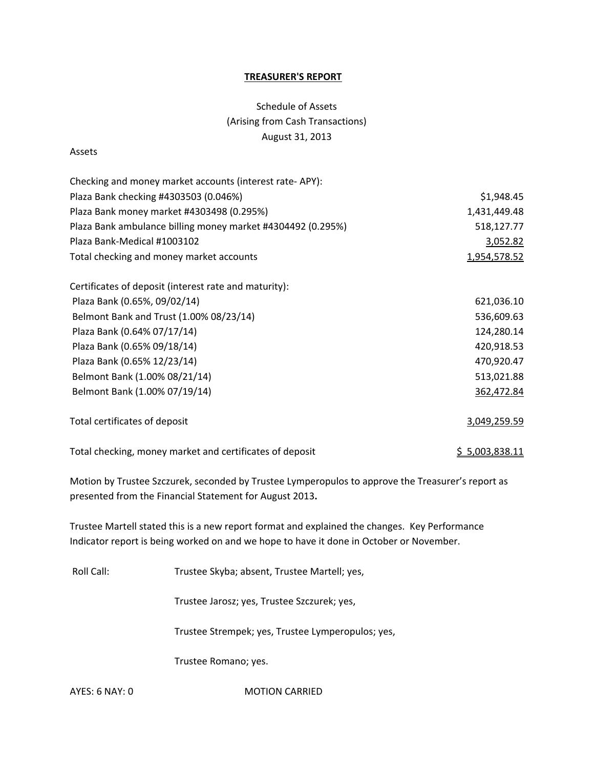#### **TREASURER'S REPORT**

# Schedule of Assets (Arising from Cash Transactions) August 31, 2013

#### Assets

| Checking and money market accounts (interest rate-APY):     |                |
|-------------------------------------------------------------|----------------|
| Plaza Bank checking #4303503 (0.046%)                       | \$1,948.45     |
| Plaza Bank money market #4303498 (0.295%)                   | 1,431,449.48   |
| Plaza Bank ambulance billing money market #4304492 (0.295%) | 518,127.77     |
| Plaza Bank-Medical #1003102                                 | 3,052.82       |
| Total checking and money market accounts                    | 1,954,578.52   |
| Certificates of deposit (interest rate and maturity):       |                |
| Plaza Bank (0.65%, 09/02/14)                                | 621,036.10     |
| Belmont Bank and Trust (1.00% 08/23/14)                     | 536,609.63     |
| Plaza Bank (0.64% 07/17/14)                                 | 124,280.14     |
| Plaza Bank (0.65% 09/18/14)                                 | 420,918.53     |
| Plaza Bank (0.65% 12/23/14)                                 | 470,920.47     |
| Belmont Bank (1.00% 08/21/14)                               | 513,021.88     |
| Belmont Bank (1.00% 07/19/14)                               | 362,472.84     |
| Total certificates of deposit                               | 3,049,259.59   |
| Total checking, money market and certificates of deposit    | \$5,003,838.11 |

Motion by Trustee Szczurek, seconded by Trustee Lymperopulos to approve the Treasurer's report as presented from the Financial Statement for August 2013**.**

Trustee Martell stated this is a new report format and explained the changes. Key Performance Indicator report is being worked on and we hope to have it done in October or November.

Roll Call: Trustee Skyba; absent, Trustee Martell; yes,

Trustee Jarosz; yes, Trustee Szczurek; yes,

Trustee Strempek; yes, Trustee Lymperopulos; yes,

Trustee Romano; yes.

AYES: 6 NAY: 0 MOTION CARRIED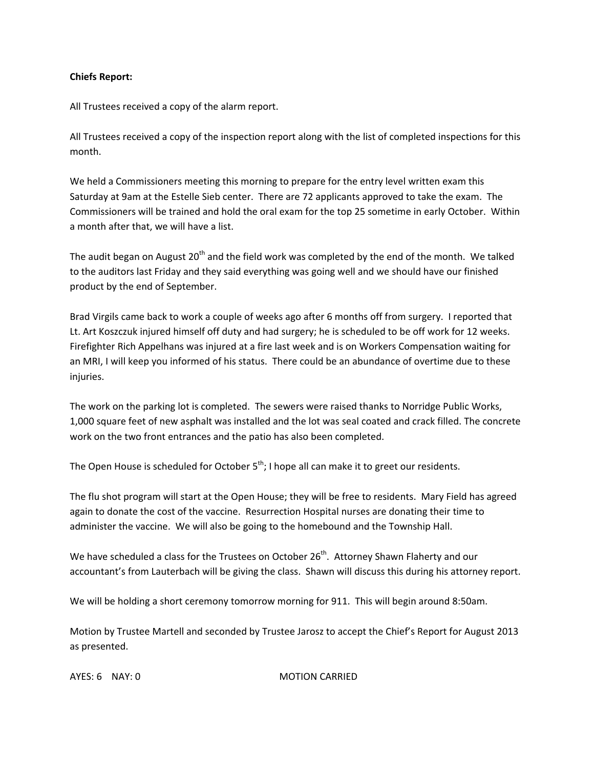## **Chiefs Report:**

All Trustees received a copy of the alarm report.

All Trustees received a copy of the inspection report along with the list of completed inspections for this month.

We held a Commissioners meeting this morning to prepare for the entry level written exam this Saturday at 9am at the Estelle Sieb center. There are 72 applicants approved to take the exam. The Commissioners will be trained and hold the oral exam for the top 25 sometime in early October. Within a month after that, we will have a list.

The audit began on August 20<sup>th</sup> and the field work was completed by the end of the month. We talked to the auditors last Friday and they said everything was going well and we should have our finished product by the end of September.

Brad Virgils came back to work a couple of weeks ago after 6 months off from surgery. I reported that Lt. Art Koszczuk injured himself off duty and had surgery; he is scheduled to be off work for 12 weeks. Firefighter Rich Appelhans was injured at a fire last week and is on Workers Compensation waiting for an MRI, I will keep you informed of his status. There could be an abundance of overtime due to these injuries.

The work on the parking lot is completed. The sewers were raised thanks to Norridge Public Works, 1,000 square feet of new asphalt was installed and the lot was seal coated and crack filled. The concrete work on the two front entrances and the patio has also been completed.

The Open House is scheduled for October  $5^{th}$ ; I hope all can make it to greet our residents.

The flu shot program will start at the Open House; they will be free to residents. Mary Field has agreed again to donate the cost of the vaccine. Resurrection Hospital nurses are donating their time to administer the vaccine. We will also be going to the homebound and the Township Hall.

We have scheduled a class for the Trustees on October 26<sup>th</sup>. Attorney Shawn Flaherty and our accountant's from Lauterbach will be giving the class. Shawn will discuss this during his attorney report.

We will be holding a short ceremony tomorrow morning for 911. This will begin around 8:50am.

Motion by Trustee Martell and seconded by Trustee Jarosz to accept the Chief's Report for August 2013 as presented.

AYES: 6 NAY: 0 MOTION CARRIED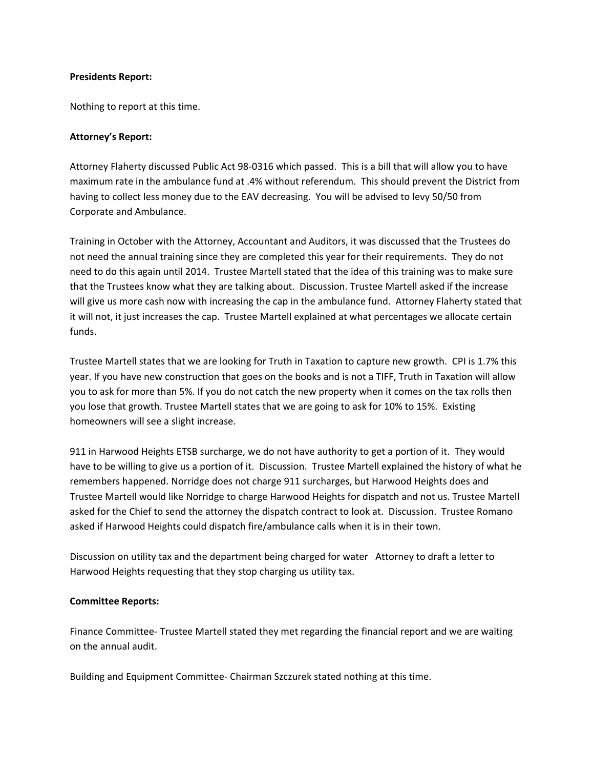#### **Presidents Report:**

Nothing to report at this time.

#### **Attorney's Report:**

Attorney Flaherty discussed Public Act 98‐0316 which passed. This is a bill that will allow you to have maximum rate in the ambulance fund at .4% without referendum. This should prevent the District from having to collect less money due to the EAV decreasing. You will be advised to levy 50/50 from Corporate and Ambulance.

Training in October with the Attorney, Accountant and Auditors, it was discussed that the Trustees do not need the annual training since they are completed this year for their requirements. They do not need to do this again until 2014. Trustee Martell stated that the idea of this training was to make sure that the Trustees know what they are talking about. Discussion. Trustee Martell asked if the increase will give us more cash now with increasing the cap in the ambulance fund. Attorney Flaherty stated that it will not, it just increases the cap. Trustee Martell explained at what percentages we allocate certain funds.

Trustee Martell states that we are looking for Truth in Taxation to capture new growth. CPI is 1.7% this year. If you have new construction that goes on the books and is not a TIFF, Truth in Taxation will allow you to ask for more than 5%. If you do not catch the new property when it comes on the tax rolls then you lose that growth. Trustee Martell states that we are going to ask for 10% to 15%. Existing homeowners will see a slight increase.

911 in Harwood Heights ETSB surcharge, we do not have authority to get a portion of it. They would have to be willing to give us a portion of it. Discussion. Trustee Martell explained the history of what he remembers happened. Norridge does not charge 911 surcharges, but Harwood Heights does and Trustee Martell would like Norridge to charge Harwood Heights for dispatch and not us. Trustee Martell asked for the Chief to send the attorney the dispatch contract to look at. Discussion. Trustee Romano asked if Harwood Heights could dispatch fire/ambulance calls when it is in their town.

Discussion on utility tax and the department being charged for water Attorney to draft a letter to Harwood Heights requesting that they stop charging us utility tax.

## **Committee Reports:**

Finance Committee‐ Trustee Martell stated they met regarding the financial report and we are waiting on the annual audit.

Building and Equipment Committee‐ Chairman Szczurek stated nothing at this time.